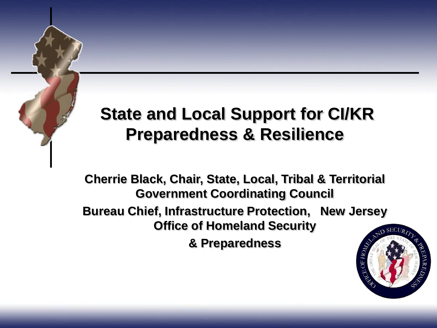#### **State and Local Support for CI/KR Preparedness & Resilience**

**Cherrie Black, Chair, State, Local, Tribal & Territorial Government Coordinating Council Bureau Chief, Infrastructure Protection, New Jersey Office of Homeland Security & Preparedness**

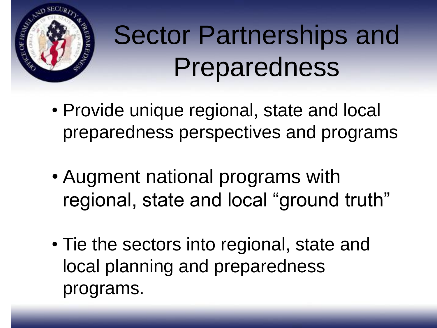

# Sector Partnerships and Preparedness

- Provide unique regional, state and local preparedness perspectives and programs
- Augment national programs with regional, state and local "ground truth"
- Tie the sectors into regional, state and local planning and preparedness programs.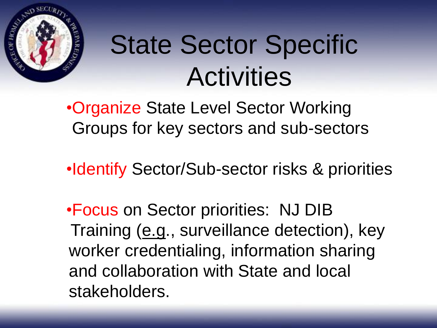

## State Sector Specific **Activities**

•Organize State Level Sector Working Groups for key sectors and sub-sectors

•Identify Sector/Sub-sector risks & priorities

•Focus on Sector priorities: NJ DIB Training (e.g., surveillance detection), key worker credentialing, information sharing and collaboration with State and local stakeholders.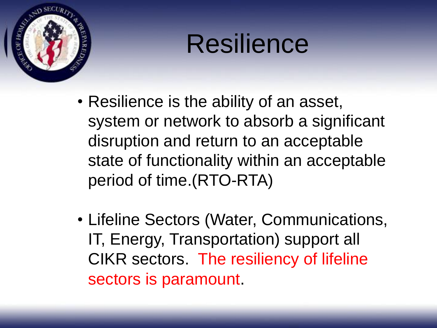

## Resilience

- Resilience is the ability of an asset, system or network to absorb a significant disruption and return to an acceptable state of functionality within an acceptable period of time.(RTO-RTA)
- Lifeline Sectors (Water, Communications, IT, Energy, Transportation) support all CIKR sectors. The resiliency of lifeline sectors is paramount.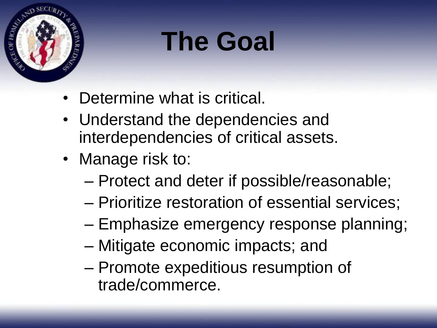

## **The Goal**

- Determine what is critical.
- Understand the dependencies and interdependencies of critical assets.
- Manage risk to:
	- Protect and deter if possible/reasonable;
	- Prioritize restoration of essential services;
	- Emphasize emergency response planning;
	- Mitigate economic impacts; and
	- Promote expeditious resumption of trade/commerce.